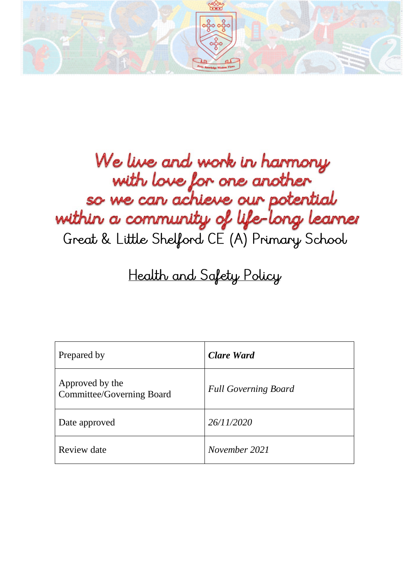

# We live and work in harmony with love for one another so we can achieve our potential within a community of life-long learner Great & Little Shelford CE (A) Primary School

# Health and Safety Policy

| Prepared by                                  | <b>Clare Ward</b>           |
|----------------------------------------------|-----------------------------|
| Approved by the<br>Committee/Governing Board | <b>Full Governing Board</b> |
| Date approved                                | 26/11/2020                  |
| Review date                                  | November 2021               |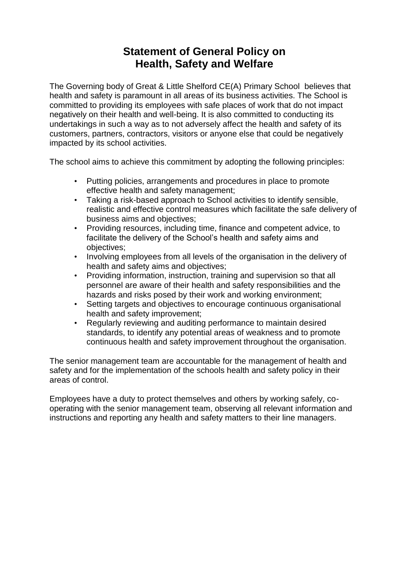# **Statement of General Policy on Health, Safety and Welfare**

The Governing body of Great & Little Shelford CE(A) Primary School believes that health and safety is paramount in all areas of its business activities. The School is committed to providing its employees with safe places of work that do not impact negatively on their health and well-being. It is also committed to conducting its undertakings in such a way as to not adversely affect the health and safety of its customers, partners, contractors, visitors or anyone else that could be negatively impacted by its school activities.

The school aims to achieve this commitment by adopting the following principles:

- Putting policies, arrangements and procedures in place to promote effective health and safety management;
- Taking a risk-based approach to School activities to identify sensible, realistic and effective control measures which facilitate the safe delivery of business aims and objectives;
- Providing resources, including time, finance and competent advice, to facilitate the delivery of the School's health and safety aims and objectives;
- Involving employees from all levels of the organisation in the delivery of health and safety aims and objectives;
- Providing information, instruction, training and supervision so that all personnel are aware of their health and safety responsibilities and the hazards and risks posed by their work and working environment;
- Setting targets and objectives to encourage continuous organisational health and safety improvement;
- Regularly reviewing and auditing performance to maintain desired standards, to identify any potential areas of weakness and to promote continuous health and safety improvement throughout the organisation.

The senior management team are accountable for the management of health and safety and for the implementation of the schools health and safety policy in their areas of control.

Employees have a duty to protect themselves and others by working safely, cooperating with the senior management team, observing all relevant information and instructions and reporting any health and safety matters to their line managers.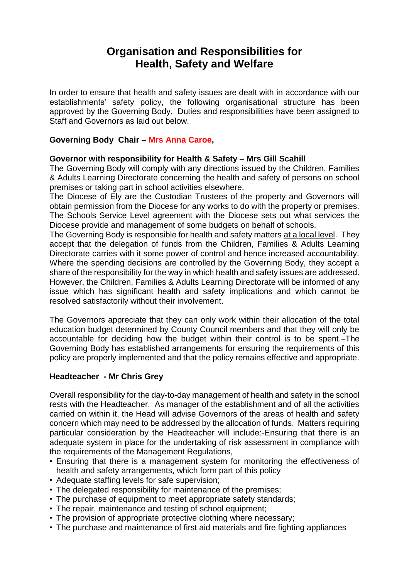# **Organisation and Responsibilities for Health, Safety and Welfare**

In order to ensure that health and safety issues are dealt with in accordance with our establishments' safety policy, the following organisational structure has been approved by the Governing Body. Duties and responsibilities have been assigned to Staff and Governors as laid out below.

#### **Governing Body Chair – Mrs Anna Caroe,**

#### **Governor with responsibility for Health & Safety – Mrs Gill Scahill**

The Governing Body will comply with any directions issued by the Children, Families & Adults Learning Directorate concerning the health and safety of persons on school premises or taking part in school activities elsewhere.

The Diocese of Ely are the Custodian Trustees of the property and Governors will obtain permission from the Diocese for any works to do with the property or premises. The Schools Service Level agreement with the Diocese sets out what services the Diocese provide and management of some budgets on behalf of schools.

The Governing Body is responsible for health and safety matters at a local level. They accept that the delegation of funds from the Children, Families & Adults Learning Directorate carries with it some power of control and hence increased accountability. Where the spending decisions are controlled by the Governing Body, they accept a share of the responsibility for the way in which health and safety issues are addressed. However, the Children, Families & Adults Learning Directorate will be informed of any issue which has significant health and safety implications and which cannot be resolved satisfactorily without their involvement.

The Governors appreciate that they can only work within their allocation of the total education budget determined by County Council members and that they will only be accountable for deciding how the budget within their control is to be spent. The Governing Body has established arrangements for ensuring the requirements of this policy are properly implemented and that the policy remains effective and appropriate.

#### **Headteacher - Mr Chris Grey**

Overall responsibility for the day-to-day management of health and safety in the school rests with the Headteacher. As manager of the establishment and of all the activities carried on within it, the Head will advise Governors of the areas of health and safety concern which may need to be addressed by the allocation of funds. Matters requiring particular consideration by the Headteacher will include:-Ensuring that there is an adequate system in place for the undertaking of risk assessment in compliance with the requirements of the Management Regulations,

- Ensuring that there is a management system for monitoring the effectiveness of health and safety arrangements, which form part of this policy
- Adequate staffing levels for safe supervision;
- The delegated responsibility for maintenance of the premises;
- The purchase of equipment to meet appropriate safety standards;
- The repair, maintenance and testing of school equipment;
- The provision of appropriate protective clothing where necessary;
- The purchase and maintenance of first aid materials and fire fighting appliances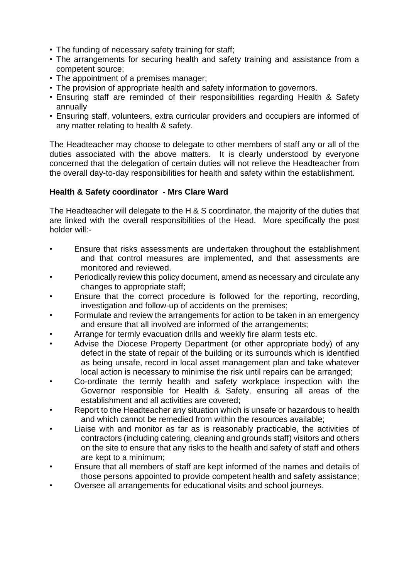- The funding of necessary safety training for staff;
- The arrangements for securing health and safety training and assistance from a competent source;
- The appointment of a premises manager;
- The provision of appropriate health and safety information to governors.
- Ensuring staff are reminded of their responsibilities regarding Health & Safety annually
- Ensuring staff, volunteers, extra curricular providers and occupiers are informed of any matter relating to health & safety.

The Headteacher may choose to delegate to other members of staff any or all of the duties associated with the above matters. It is clearly understood by everyone concerned that the delegation of certain duties will not relieve the Headteacher from the overall day-to-day responsibilities for health and safety within the establishment.

#### **Health & Safety coordinator - Mrs Clare Ward**

The Headteacher will delegate to the H & S coordinator, the majority of the duties that are linked with the overall responsibilities of the Head. More specifically the post holder will:-

- Ensure that risks assessments are undertaken throughout the establishment and that control measures are implemented, and that assessments are monitored and reviewed.
- Periodically review this policy document, amend as necessary and circulate any changes to appropriate staff;
- Ensure that the correct procedure is followed for the reporting, recording, investigation and follow-up of accidents on the premises;
- Formulate and review the arrangements for action to be taken in an emergency and ensure that all involved are informed of the arrangements;
- Arrange for termly evacuation drills and weekly fire alarm tests etc.
- Advise the Diocese Property Department (or other appropriate body) of any defect in the state of repair of the building or its surrounds which is identified as being unsafe, record in local asset management plan and take whatever local action is necessary to minimise the risk until repairs can be arranged;
- Co-ordinate the termly health and safety workplace inspection with the Governor responsible for Health & Safety, ensuring all areas of the establishment and all activities are covered;
- Report to the Headteacher any situation which is unsafe or hazardous to health and which cannot be remedied from within the resources available;
- Liaise with and monitor as far as is reasonably practicable, the activities of contractors (including catering, cleaning and grounds staff) visitors and others on the site to ensure that any risks to the health and safety of staff and others are kept to a minimum;
- Ensure that all members of staff are kept informed of the names and details of those persons appointed to provide competent health and safety assistance;
- Oversee all arrangements for educational visits and school journeys.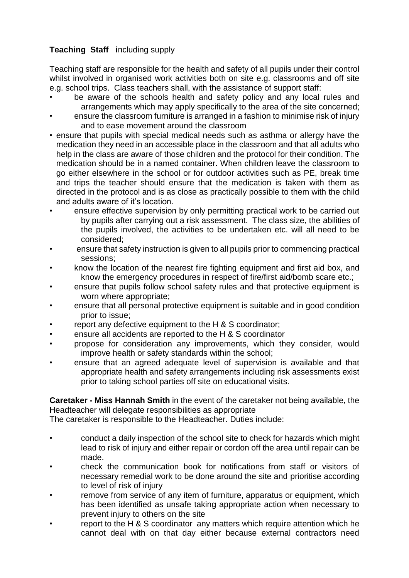# **Teaching Staff i**ncluding supply

Teaching staff are responsible for the health and safety of all pupils under their control whilst involved in organised work activities both on site e.g. classrooms and off site e.g. school trips. Class teachers shall, with the assistance of support staff:

- be aware of the schools health and safety policy and any local rules and arrangements which may apply specifically to the area of the site concerned;
- ensure the classroom furniture is arranged in a fashion to minimise risk of injury and to ease movement around the classroom
- ensure that pupils with special medical needs such as asthma or allergy have the medication they need in an accessible place in the classroom and that all adults who help in the class are aware of those children and the protocol for their condition. The medication should be in a named container. When children leave the classroom to go either elsewhere in the school or for outdoor activities such as PE, break time and trips the teacher should ensure that the medication is taken with them as directed in the protocol and is as close as practically possible to them with the child and adults aware of it's location.
- ensure effective supervision by only permitting practical work to be carried out by pupils after carrying out a risk assessment. The class size, the abilities of the pupils involved, the activities to be undertaken etc. will all need to be considered;
- ensure that safety instruction is given to all pupils prior to commencing practical sessions;
- know the location of the nearest fire fighting equipment and first aid box, and know the emergency procedures in respect of fire/first aid/bomb scare etc.;
- ensure that pupils follow school safety rules and that protective equipment is worn where appropriate;
- ensure that all personal protective equipment is suitable and in good condition prior to issue;
- report any defective equipment to the H & S coordinator;
- ensure all accidents are reported to the H & S coordinator
- propose for consideration any improvements, which they consider, would improve health or safety standards within the school;
- ensure that an agreed adequate level of supervision is available and that appropriate health and safety arrangements including risk assessments exist prior to taking school parties off site on educational visits.

**Caretaker - Miss Hannah Smith** in the event of the caretaker not being available, the Headteacher will delegate responsibilities as appropriate

The caretaker is responsible to the Headteacher. Duties include:

- conduct a daily inspection of the school site to check for hazards which might lead to risk of injury and either repair or cordon off the area until repair can be made.
- check the communication book for notifications from staff or visitors of necessary remedial work to be done around the site and prioritise according to level of risk of injury
- remove from service of any item of furniture, apparatus or equipment, which has been identified as unsafe taking appropriate action when necessary to prevent injury to others on the site
- report to the H & S coordinator any matters which require attention which he cannot deal with on that day either because external contractors need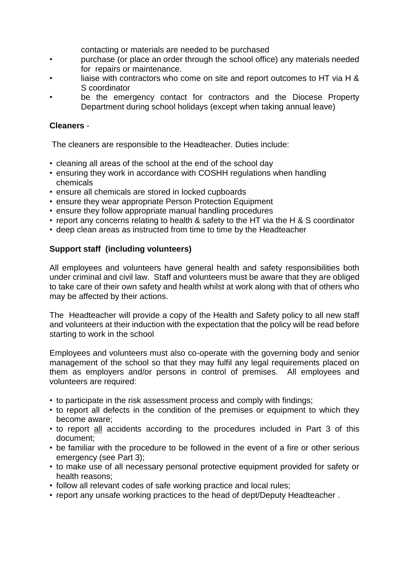- contacting or materials are needed to be purchased
- purchase (or place an order through the school office) any materials needed for repairs or maintenance.
- liaise with contractors who come on site and report outcomes to HT via H & S coordinator
- be the emergency contact for contractors and the Diocese Property Department during school holidays (except when taking annual leave)

### **Cleaners** -

The cleaners are responsible to the Headteacher. Duties include:

- cleaning all areas of the school at the end of the school day
- ensuring they work in accordance with COSHH regulations when handling chemicals
- ensure all chemicals are stored in locked cupboards
- ensure they wear appropriate Person Protection Equipment
- ensure they follow appropriate manual handling procedures
- report any concerns relating to health & safety to the HT via the H & S coordinator
- deep clean areas as instructed from time to time by the Headteacher

## **Support staff (including volunteers)**

All employees and volunteers have general health and safety responsibilities both under criminal and civil law. Staff and volunteers must be aware that they are obliged to take care of their own safety and health whilst at work along with that of others who may be affected by their actions.

The Headteacher will provide a copy of the Health and Safety policy to all new staff and volunteers at their induction with the expectation that the policy will be read before starting to work in the school

Employees and volunteers must also co-operate with the governing body and senior management of the school so that they may fulfil any legal requirements placed on them as employers and/or persons in control of premises. All employees and volunteers are required:

- to participate in the risk assessment process and comply with findings;
- to report all defects in the condition of the premises or equipment to which they become aware;
- to report all accidents according to the procedures included in Part 3 of this document;
- be familiar with the procedure to be followed in the event of a fire or other serious emergency (see Part 3);
- to make use of all necessary personal protective equipment provided for safety or health reasons;
- follow all relevant codes of safe working practice and local rules;
- report any unsafe working practices to the head of dept/Deputy Headteacher .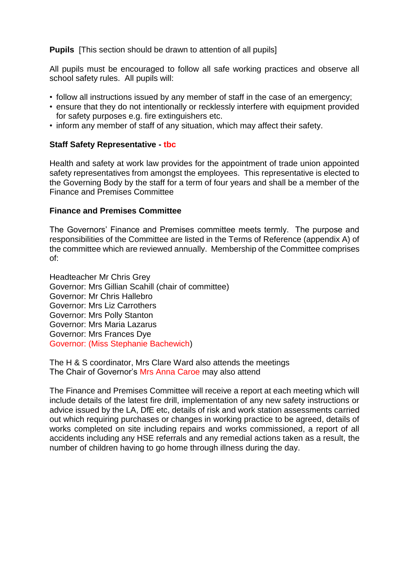**Pupils** [This section should be drawn to attention of all pupils]

All pupils must be encouraged to follow all safe working practices and observe all school safety rules. All pupils will:

- follow all instructions issued by any member of staff in the case of an emergency;
- ensure that they do not intentionally or recklessly interfere with equipment provided for safety purposes e.g. fire extinguishers etc.
- inform any member of staff of any situation, which may affect their safety.

#### **Staff Safety Representative - tbc**

Health and safety at work law provides for the appointment of trade union appointed safety representatives from amongst the employees. This representative is elected to the Governing Body by the staff for a term of four years and shall be a member of the Finance and Premises Committee

#### **Finance and Premises Committee**

The Governors' Finance and Premises committee meets termly. The purpose and responsibilities of the Committee are listed in the Terms of Reference (appendix A) of the committee which are reviewed annually. Membership of the Committee comprises of:

Headteacher Mr Chris Grey Governor: Mrs Gillian Scahill (chair of committee) Governor: Mr Chris Hallebro Governor: Mrs Liz Carrothers Governor: Mrs Polly Stanton Governor: Mrs Maria Lazarus Governor: Mrs Frances Dye Governor: (Miss Stephanie Bachewich)

The H & S coordinator, Mrs Clare Ward also attends the meetings The Chair of Governor's Mrs Anna Caroe may also attend

The Finance and Premises Committee will receive a report at each meeting which will include details of the latest fire drill, implementation of any new safety instructions or advice issued by the LA, DfE etc, details of risk and work station assessments carried out which requiring purchases or changes in working practice to be agreed, details of works completed on site including repairs and works commissioned, a report of all accidents including any HSE referrals and any remedial actions taken as a result, the number of children having to go home through illness during the day.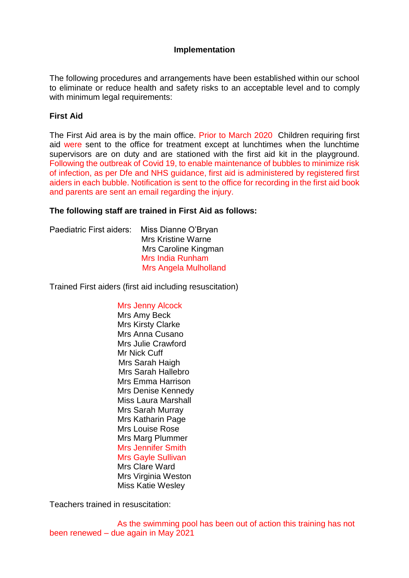#### **Implementation**

The following procedures and arrangements have been established within our school to eliminate or reduce health and safety risks to an acceptable level and to comply with minimum legal requirements:

#### **First Aid**

The First Aid area is by the main office. Prior to March 2020 Children requiring first aid were sent to the office for treatment except at lunchtimes when the lunchtime supervisors are on duty and are stationed with the first aid kit in the playground. Following the outbreak of Covid 19, to enable maintenance of bubbles to minimize risk of infection, as per Dfe and NHS guidance, first aid is administered by registered first aiders in each bubble. Notification is sent to the office for recording in the first aid book and parents are sent an email regarding the injury.

#### **The following staff are trained in First Aid as follows:**

| Paediatric First aiders: | Miss Dianne O'Bryan          |
|--------------------------|------------------------------|
|                          | <b>Mrs Kristine Warne</b>    |
|                          | Mrs Caroline Kingman         |
|                          | <b>Mrs India Runham</b>      |
|                          | <b>Mrs Angela Mulholland</b> |
|                          |                              |

Trained First aiders (first aid including resuscitation)

#### Mrs Jenny Alcock

 Mrs Amy Beck Mrs Kirsty Clarke Mrs Anna Cusano Mrs Julie Crawford Mr Nick Cuff Mrs Sarah Haigh Mrs Sarah Hallebro Mrs Emma Harrison Mrs Denise Kennedy Miss Laura Marshall Mrs Sarah Murray Mrs Katharin Page Mrs Louise Rose Mrs Marg Plummer Mrs Jennifer Smith Mrs Gayle Sullivan Mrs Clare Ward Mrs Virginia Weston Miss Katie Wesley

Teachers trained in resuscitation:

 As the swimming pool has been out of action this training has not been renewed – due again in May 2021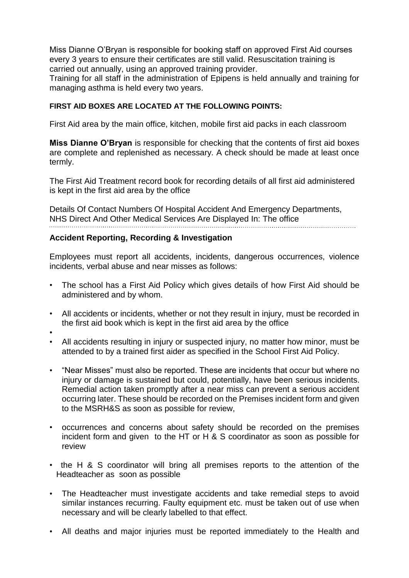Miss Dianne O'Bryan is responsible for booking staff on approved First Aid courses every 3 years to ensure their certificates are still valid. Resuscitation training is carried out annually, using an approved training provider.

Training for all staff in the administration of Epipens is held annually and training for managing asthma is held every two years.

#### **FIRST AID BOXES ARE LOCATED AT THE FOLLOWING POINTS:**

First Aid area by the main office, kitchen, mobile first aid packs in each classroom

**Miss Dianne O'Bryan** is responsible for checking that the contents of first aid boxes are complete and replenished as necessary. A check should be made at least once termly.

The First Aid Treatment record book for recording details of all first aid administered is kept in the first aid area by the office

Details Of Contact Numbers Of Hospital Accident And Emergency Departments, NHS Direct And Other Medical Services Are Displayed In: The office

#### **Accident Reporting, Recording & Investigation**

Employees must report all accidents, incidents, dangerous occurrences, violence incidents, verbal abuse and near misses as follows:

- The school has a First Aid Policy which gives details of how First Aid should be administered and by whom.
- All accidents or incidents, whether or not they result in injury, must be recorded in the first aid book which is kept in the first aid area by the office
- •
- All accidents resulting in injury or suspected injury, no matter how minor, must be attended to by a trained first aider as specified in the School First Aid Policy.
- "Near Misses" must also be reported. These are incidents that occur but where no injury or damage is sustained but could, potentially, have been serious incidents. Remedial action taken promptly after a near miss can prevent a serious accident occurring later. These should be recorded on the Premises incident form and given to the MSRH&S as soon as possible for review,
- occurrences and concerns about safety should be recorded on the premises incident form and given to the HT or H & S coordinator as soon as possible for review
- the H & S coordinator will bring all premises reports to the attention of the Headteacher as soon as possible
- The Headteacher must investigate accidents and take remedial steps to avoid similar instances recurring. Faulty equipment etc. must be taken out of use when necessary and will be clearly labelled to that effect.
- All deaths and major injuries must be reported immediately to the Health and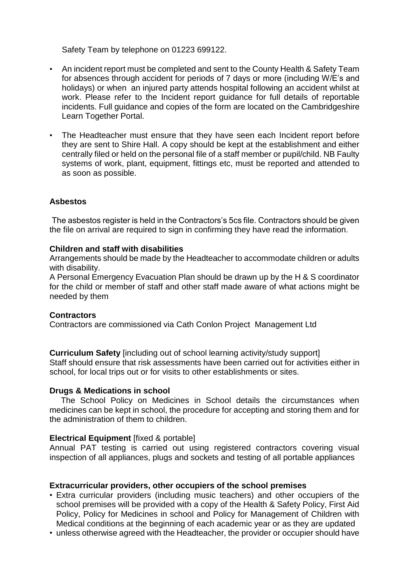Safety Team by telephone on 01223 699122.

- An incident report must be completed and sent to the County Health & Safety Team for absences through accident for periods of 7 days or more (including W/E's and holidays) or when an injured party attends hospital following an accident whilst at work. Please refer to the Incident report guidance for full details of reportable incidents. Full guidance and copies of the form are located on the Cambridgeshire Learn Together Portal.
- The Headteacher must ensure that they have seen each Incident report before they are sent to Shire Hall. A copy should be kept at the establishment and either centrally filed or held on the personal file of a staff member or pupil/child. NB Faulty systems of work, plant, equipment, fittings etc, must be reported and attended to as soon as possible.

#### **Asbestos**

The asbestos register is held in the Contractors's 5cs file. Contractors should be given the file on arrival are required to sign in confirming they have read the information.

#### **Children and staff with disabilities**

Arrangements should be made by the Headteacher to accommodate children or adults with disability.

A Personal Emergency Evacuation Plan should be drawn up by the H & S coordinator for the child or member of staff and other staff made aware of what actions might be needed by them

#### **Contractors**

Contractors are commissioned via Cath Conlon Project Management Ltd

**Curriculum Safety** [including out of school learning activity/study support] Staff should ensure that risk assessments have been carried out for activities either in school, for local trips out or for visits to other establishments or sites.

#### **Drugs & Medications in school**

 The School Policy on Medicines in School details the circumstances when medicines can be kept in school, the procedure for accepting and storing them and for the administration of them to children.

#### **Electrical Equipment** [fixed & portable]

Annual PAT testing is carried out using registered contractors covering visual inspection of all appliances, plugs and sockets and testing of all portable appliances

#### **Extracurricular providers, other occupiers of the school premises**

- Extra curricular providers (including music teachers) and other occupiers of the school premises will be provided with a copy of the Health & Safety Policy, First Aid Policy, Policy for Medicines in school and Policy for Management of Children with Medical conditions at the beginning of each academic year or as they are updated
- unless otherwise agreed with the Headteacher, the provider or occupier should have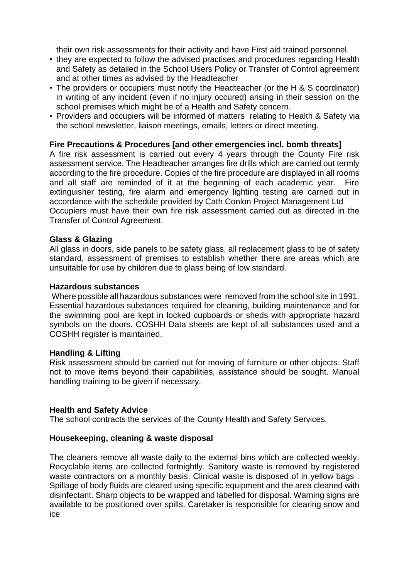their own risk assessments for their activity and have First aid trained personnel.

- they are expected to follow the advised practises and procedures regarding Health and Safety as detailed in the School Users Policy or Transfer of Control agreement and at other times as advised by the Headteacher
- The providers or occupiers must notify the Headteacher (or the H & S coordinator) in writing of any incident (even if no injury occured) arising in their session on the school premises which might be of a Health and Safety concern.
- Providers and occupiers will be informed of matters relating to Health & Safety via the school newsletter, liaison meetings, emails, letters or direct meeting.

#### **Fire Precautions & Procedures [and other emergencies incl. bomb threats]**

A fire risk assessment is carried out every 4 years through the County Fire risk assessment service. The Headteacher arranges fire drills which are carried out termly according to the fire procedure. Copies of the fire procedure are displayed in all rooms and all staff are reminded of it at the beginning of each academic year. Fire extinguisher testing, fire alarm and emergency lighting testing are carried out in accordance with the schedule provided by Cath Conlon Project Management Ltd Occupiers must have their own fire risk assessment carried out as directed in the Transfer of Control Agreement.

#### **Glass & Glazing**

All glass in doors, side panels to be safety glass, all replacement glass to be of safety standard, assessment of premises to establish whether there are areas which are unsuitable for use by children due to glass being of low standard.

#### **Hazardous substances**

Where possible all hazardous substances were removed from the school site in 1991. Essential hazardous substances required for cleaning, building maintenance and for the swimming pool are kept in locked cupboards or sheds with appropriate hazard symbols on the doors. COSHH Data sheets are kept of all substances used and a COSHH register is maintained.

#### **Handling & Lifting**

Risk assessment should be carried out for moving of furniture or other objects. Staff not to move items beyond their capabilities, assistance should be sought. Manual handling training to be given if necessary.

#### **Health and Safety Advice**

The school contracts the services of the County Health and Safety Services.

#### **Housekeeping, cleaning & waste disposal**

The cleaners remove all waste daily to the external bins which are collected weekly. Recyclable items are collected fortnightly. Sanitory waste is removed by registered waste contractors on a monthly basis. Clinical waste is disposed of in yellow bags . Spillage of body fluids are cleared using specific equipment and the area cleaned with disinfectant. Sharp objects to be wrapped and labelled for disposal. Warning signs are available to be positioned over spills. Caretaker is responsible for clearing snow and ice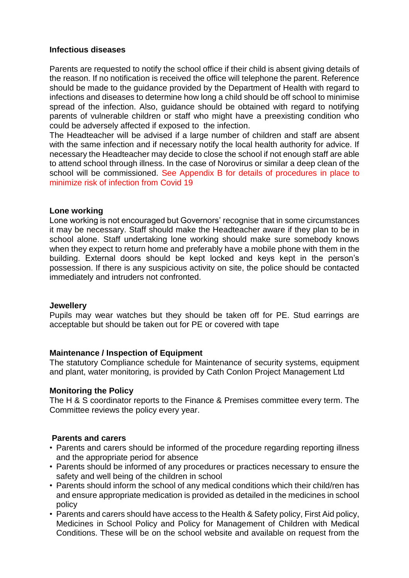#### **Infectious diseases**

Parents are requested to notify the school office if their child is absent giving details of the reason. If no notification is received the office will telephone the parent. Reference should be made to the guidance provided by the Department of Health with regard to infections and diseases to determine how long a child should be off school to minimise spread of the infection. Also, guidance should be obtained with regard to notifying parents of vulnerable children or staff who might have a preexisting condition who could be adversely affected if exposed to the infection.

The Headteacher will be advised if a large number of children and staff are absent with the same infection and if necessary notify the local health authority for advice. If necessary the Headteacher may decide to close the school if not enough staff are able to attend school through illness. In the case of Norovirus or similar a deep clean of the school will be commissioned. See Appendix B for details of procedures in place to minimize risk of infection from Covid 19

#### **Lone working**

Lone working is not encouraged but Governors' recognise that in some circumstances it may be necessary. Staff should make the Headteacher aware if they plan to be in school alone. Staff undertaking lone working should make sure somebody knows when they expect to return home and preferably have a mobile phone with them in the building. External doors should be kept locked and keys kept in the person's possession. If there is any suspicious activity on site, the police should be contacted immediately and intruders not confronted.

#### **Jewellery**

Pupils may wear watches but they should be taken off for PE. Stud earrings are acceptable but should be taken out for PE or covered with tape

#### **Maintenance / Inspection of Equipment**

The statutory Compliance schedule for Maintenance of security systems, equipment and plant, water monitoring, is provided by Cath Conlon Project Management Ltd

#### **Monitoring the Policy**

The H & S coordinator reports to the Finance & Premises committee every term. The Committee reviews the policy every year.

#### **Parents and carers**

- Parents and carers should be informed of the procedure regarding reporting illness and the appropriate period for absence
- Parents should be informed of any procedures or practices necessary to ensure the safety and well being of the children in school
- Parents should inform the school of any medical conditions which their child/ren has and ensure appropriate medication is provided as detailed in the medicines in school policy
- Parents and carers should have access to the Health & Safety policy, First Aid policy, Medicines in School Policy and Policy for Management of Children with Medical Conditions. These will be on the school website and available on request from the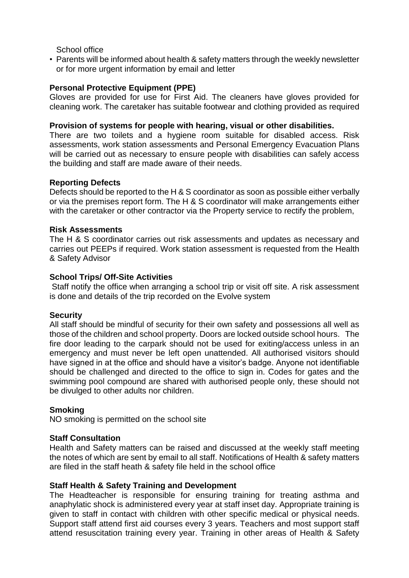School office

• Parents will be informed about health & safety matters through the weekly newsletter or for more urgent information by email and letter

#### **Personal Protective Equipment (PPE)**

Gloves are provided for use for First Aid. The cleaners have gloves provided for cleaning work. The caretaker has suitable footwear and clothing provided as required

#### **Provision of systems for people with hearing, visual or other disabilities.**

There are two toilets and a hygiene room suitable for disabled access. Risk assessments, work station assessments and Personal Emergency Evacuation Plans will be carried out as necessary to ensure people with disabilities can safely access the building and staff are made aware of their needs.

#### **Reporting Defects**

Defects should be reported to the H & S coordinator as soon as possible either verbally or via the premises report form. The H & S coordinator will make arrangements either with the caretaker or other contractor via the Property service to rectify the problem,

#### **Risk Assessments**

The H & S coordinator carries out risk assessments and updates as necessary and carries out PEEPs if required. Work station assessment is requested from the Health & Safety Advisor

#### **School Trips/ Off-Site Activities**

Staff notify the office when arranging a school trip or visit off site. A risk assessment is done and details of the trip recorded on the Evolve system

#### **Security**

All staff should be mindful of security for their own safety and possessions all well as those of the children and school property. Doors are locked outside school hours. The fire door leading to the carpark should not be used for exiting/access unless in an emergency and must never be left open unattended. All authorised visitors should have signed in at the office and should have a visitor's badge. Anyone not identifiable should be challenged and directed to the office to sign in. Codes for gates and the swimming pool compound are shared with authorised people only, these should not be divulged to other adults nor children.

#### **Smoking**

NO smoking is permitted on the school site

#### **Staff Consultation**

Health and Safety matters can be raised and discussed at the weekly staff meeting the notes of which are sent by email to all staff. Notifications of Health & safety matters are filed in the staff heath & safety file held in the school office

#### **Staff Health & Safety Training and Development**

The Headteacher is responsible for ensuring training for treating asthma and anaphylatic shock is administered every year at staff inset day. Appropriate training is given to staff in contact with children with other specific medical or physical needs. Support staff attend first aid courses every 3 years. Teachers and most support staff attend resuscitation training every year. Training in other areas of Health & Safety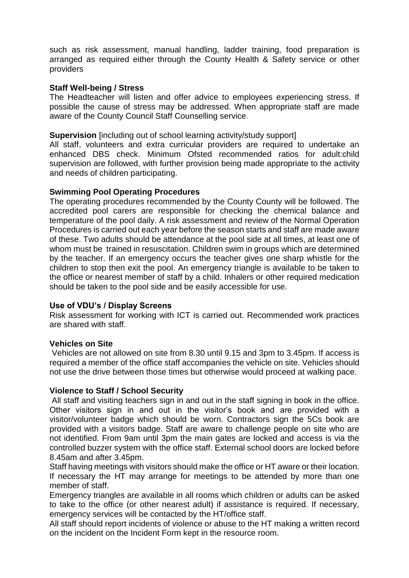such as risk assessment, manual handling, ladder training, food preparation is arranged as required either through the County Health & Safety service or other providers

#### **Staff Well-being / Stress**

The Headteacher will listen and offer advice to employees experiencing stress. If possible the cause of stress may be addressed. When appropriate staff are made aware of the County Council Staff Counselling service.

#### **Supervision** [including out of school learning activity/study support]

All staff, volunteers and extra curricular providers are required to undertake an enhanced DBS check. Minimum Ofsted recommended ratios for adult:child supervision are followed, with further provision being made appropriate to the activity and needs of children participating.

#### **Swimming Pool Operating Procedures**

The operating procedures recommended by the County County will be followed. The accredited pool carers are responsible for checking the chemical balance and temperature of the pool daily. A risk assessment and review of the Normal Operation Procedures is carried out each year before the season starts and staff are made aware of these. Two adults should be attendance at the pool side at all times, at least one of whom must be trained in resuscitation. Children swim in groups which are determined by the teacher. If an emergency occurs the teacher gives one sharp whistle for the children to stop then exit the pool. An emergency triangle is available to be taken to the office or nearest member of staff by a child. Inhalers or other required medication should be taken to the pool side and be easily accessible for use.

#### **Use of VDU's / Display Screens**

Risk assessment for working with ICT is carried out. Recommended work practices are shared with staff.

#### **Vehicles on Site**

Vehicles are not allowed on site from 8.30 until 9.15 and 3pm to 3.45pm. If access is required a member of the office staff accompanies the vehicle on site. Vehicles should not use the drive between those times but otherwise would proceed at walking pace.

#### **Violence to Staff / School Security**

All staff and visiting teachers sign in and out in the staff signing in book in the office. Other visitors sign in and out in the visitor's book and are provided with a visitor/volunteer badge which should be worn. Contractors sign the 5Cs book are provided with a visitors badge. Staff are aware to challenge people on site who are not identified. From 9am until 3pm the main gates are locked and access is via the controlled buzzer system with the office staff. External school doors are locked before 8.45am and after 3.45pm.

Staff having meetings with visitors should make the office or HT aware or their location. If necessary the HT may arrange for meetings to be attended by more than one member of staff.

Emergency triangles are available in all rooms which children or adults can be asked to take to the office (or other nearest adult) if assistance is required. If necessary, emergency services will be contacted by the HT/office staff.

All staff should report incidents of violence or abuse to the HT making a written record on the incident on the Incident Form kept in the resource room.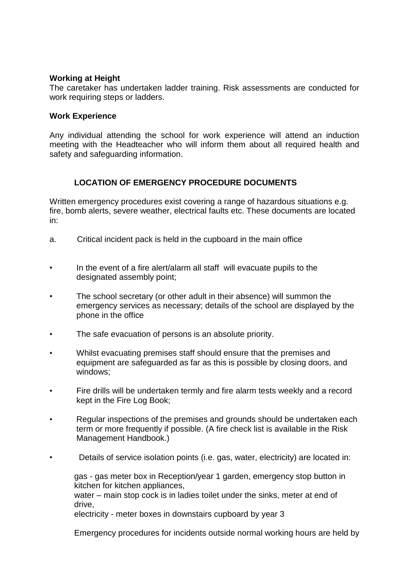#### **Working at Height**

The caretaker has undertaken ladder training. Risk assessments are conducted for work requiring steps or ladders.

#### **Work Experience**

Any individual attending the school for work experience will attend an induction meeting with the Headteacher who will inform them about all required health and safety and safeguarding information.

### **LOCATION OF EMERGENCY PROCEDURE DOCUMENTS**

Written emergency procedures exist covering a range of hazardous situations e.g. fire, bomb alerts, severe weather, electrical faults etc. These documents are located in:

- a. Critical incident pack is held in the cupboard in the main office
- In the event of a fire alert/alarm all staff will evacuate pupils to the designated assembly point;
- The school secretary (or other adult in their absence) will summon the emergency services as necessary; details of the school are displayed by the phone in the office
- The safe evacuation of persons is an absolute priority.
- Whilst evacuating premises staff should ensure that the premises and equipment are safeguarded as far as this is possible by closing doors, and windows;
- Fire drills will be undertaken termly and fire alarm tests weekly and a record kept in the Fire Log Book;
- Regular inspections of the premises and grounds should be undertaken each term or more frequently if possible. (A fire check list is available in the Risk Management Handbook.)
- Details of service isolation points (i.e. gas, water, electricity) are located in:

gas - gas meter box in Reception/year 1 garden, emergency stop button in kitchen for kitchen appliances,

water – main stop cock is in ladies toilet under the sinks, meter at end of drive,

electricity - meter boxes in downstairs cupboard by year 3

Emergency procedures for incidents outside normal working hours are held by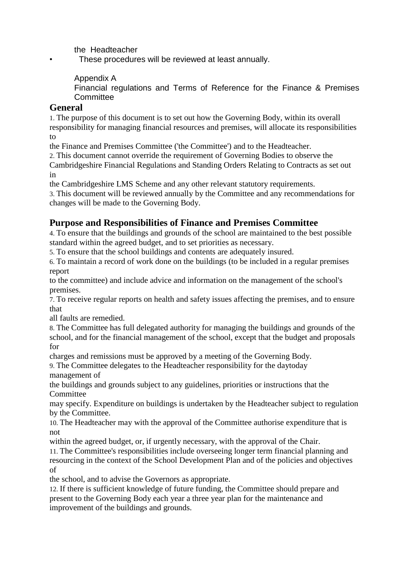the Headteacher

These procedures will be reviewed at least annually.

Appendix A

Financial regulations and Terms of Reference for the Finance & Premises **Committee** 

## **General**

1. The purpose of this document is to set out how the Governing Body, within its overall responsibility for managing financial resources and premises, will allocate its responsibilities to

the Finance and Premises Committee ('the Committee') and to the Headteacher.

2. This document cannot override the requirement of Governing Bodies to observe the Cambridgeshire Financial Regulations and Standing Orders Relating to Contracts as set out in

the Cambridgeshire LMS Scheme and any other relevant statutory requirements.

3. This document will be reviewed annually by the Committee and any recommendations for changes will be made to the Governing Body.

# **Purpose and Responsibilities of Finance and Premises Committee**

4. To ensure that the buildings and grounds of the school are maintained to the best possible standard within the agreed budget, and to set priorities as necessary.

5. To ensure that the school buildings and contents are adequately insured.

6. To maintain a record of work done on the buildings (to be included in a regular premises report

to the committee) and include advice and information on the management of the school's premises.

7. To receive regular reports on health and safety issues affecting the premises, and to ensure that

all faults are remedied.

8. The Committee has full delegated authority for managing the buildings and grounds of the school, and for the financial management of the school, except that the budget and proposals for

charges and remissions must be approved by a meeting of the Governing Body.

9. The Committee delegates to the Headteacher responsibility for the daytoday management of

the buildings and grounds subject to any guidelines, priorities or instructions that the Committee

may specify. Expenditure on buildings is undertaken by the Headteacher subject to regulation by the Committee.

10. The Headteacher may with the approval of the Committee authorise expenditure that is not

within the agreed budget, or, if urgently necessary, with the approval of the Chair.

11. The Committee's responsibilities include overseeing longer term financial planning and resourcing in the context of the School Development Plan and of the policies and objectives of

the school, and to advise the Governors as appropriate.

12. If there is sufficient knowledge of future funding, the Committee should prepare and present to the Governing Body each year a three year plan for the maintenance and improvement of the buildings and grounds.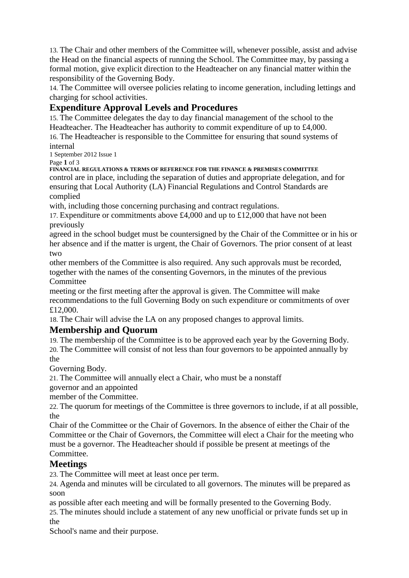13. The Chair and other members of the Committee will, whenever possible, assist and advise the Head on the financial aspects of running the School. The Committee may, by passing a formal motion, give explicit direction to the Headteacher on any financial matter within the responsibility of the Governing Body.

14. The Committee will oversee policies relating to income generation, including lettings and charging for school activities.

# **Expenditure Approval Levels and Procedures**

15. The Committee delegates the day to day financial management of the school to the Headteacher. The Headteacher has authority to commit expenditure of up to £4,000.

16. The Headteacher is responsible to the Committee for ensuring that sound systems of internal

1 September 2012 Issue 1

Page **1** of 3

**FINANCIAL REGULATIONS & TERMS OF REFERENCE FOR THE FINANCE & PREMISES COMMITTEE** control are in place, including the separation of duties and appropriate delegation, and for ensuring that Local Authority (LA) Financial Regulations and Control Standards are complied

with, including those concerning purchasing and contract regulations.

17. Expenditure or commitments above £4,000 and up to £12,000 that have not been previously

agreed in the school budget must be countersigned by the Chair of the Committee or in his or her absence and if the matter is urgent, the Chair of Governors. The prior consent of at least two

other members of the Committee is also required. Any such approvals must be recorded, together with the names of the consenting Governors, in the minutes of the previous Committee

meeting or the first meeting after the approval is given. The Committee will make recommendations to the full Governing Body on such expenditure or commitments of over £12,000.

18. The Chair will advise the LA on any proposed changes to approval limits.

# **Membership and Quorum**

19. The membership of the Committee is to be approved each year by the Governing Body. 20. The Committee will consist of not less than four governors to be appointed annually by the

Governing Body.

21. The Committee will annually elect a Chair, who must be a nonstaff

governor and an appointed

member of the Committee.

22. The quorum for meetings of the Committee is three governors to include, if at all possible, the

Chair of the Committee or the Chair of Governors. In the absence of either the Chair of the Committee or the Chair of Governors, the Committee will elect a Chair for the meeting who must be a governor. The Headteacher should if possible be present at meetings of the Committee.

# **Meetings**

23. The Committee will meet at least once per term.

24. Agenda and minutes will be circulated to all governors. The minutes will be prepared as soon

as possible after each meeting and will be formally presented to the Governing Body.

25. The minutes should include a statement of any new unofficial or private funds set up in the

School's name and their purpose.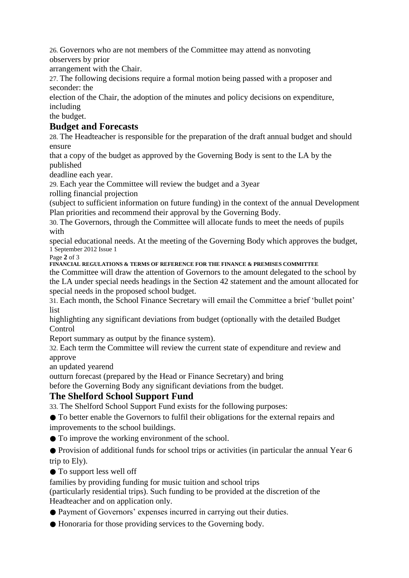26. Governors who are not members of the Committee may attend as nonvoting observers by prior

arrangement with the Chair.

27. The following decisions require a formal motion being passed with a proposer and seconder: the

election of the Chair, the adoption of the minutes and policy decisions on expenditure, including

the budget.

# **Budget and Forecasts**

28. The Headteacher is responsible for the preparation of the draft annual budget and should ensure

that a copy of the budget as approved by the Governing Body is sent to the LA by the published

deadline each year.

29. Each year the Committee will review the budget and a 3year

rolling financial projection

(subject to sufficient information on future funding) in the context of the annual Development Plan priorities and recommend their approval by the Governing Body.

30. The Governors, through the Committee will allocate funds to meet the needs of pupils with

special educational needs. At the meeting of the Governing Body which approves the budget, 1 September 2012 Issue 1 Page **2** of 3

**FINANCIAL REGULATIONS & TERMS OF REFERENCE FOR THE FINANCE & PREMISES COMMITTEE**

the Committee will draw the attention of Governors to the amount delegated to the school by the LA under special needs headings in the Section 42 statement and the amount allocated for special needs in the proposed school budget.

31. Each month, the School Finance Secretary will email the Committee a brief 'bullet point' list

highlighting any significant deviations from budget (optionally with the detailed Budget **Control** 

Report summary as output by the finance system).

32. Each term the Committee will review the current state of expenditure and review and approve

an updated yearend

outturn forecast (prepared by the Head or Finance Secretary) and bring

before the Governing Body any significant deviations from the budget.

# **The Shelford School Support Fund**

33. The Shelford School Support Fund exists for the following purposes:

● To better enable the Governors to fulfil their obligations for the external repairs and improvements to the school buildings.

● To improve the working environment of the school.

● Provision of additional funds for school trips or activities (in particular the annual Year 6 trip to Ely).

● To support less well off

families by providing funding for music tuition and school trips

(particularly residential trips). Such funding to be provided at the discretion of the Headteacher and on application only.

● Payment of Governors' expenses incurred in carrying out their duties.

● Honoraria for those providing services to the Governing body.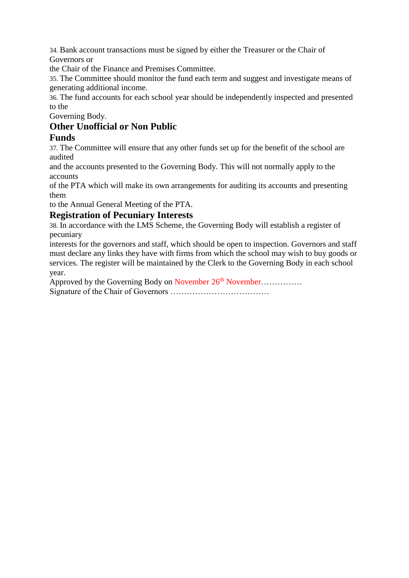34. Bank account transactions must be signed by either the Treasurer or the Chair of Governors or

the Chair of the Finance and Premises Committee.

35. The Committee should monitor the fund each term and suggest and investigate means of generating additional income.

36. The fund accounts for each school year should be independently inspected and presented to the

Governing Body.

# **Other Unofficial or Non Public**

# **Funds**

37. The Committee will ensure that any other funds set up for the benefit of the school are audited

and the accounts presented to the Governing Body. This will not normally apply to the accounts

of the PTA which will make its own arrangements for auditing its accounts and presenting them

to the Annual General Meeting of the PTA.

#### **Registration of Pecuniary Interests**

38. In accordance with the LMS Scheme, the Governing Body will establish a register of pecuniary

interests for the governors and staff, which should be open to inspection. Governors and staff must declare any links they have with firms from which the school may wish to buy goods or services. The register will be maintained by the Clerk to the Governing Body in each school year.

Approved by the Governing Body on November 26<sup>th</sup> November…………… Signature of the Chair of Governors ………………………………